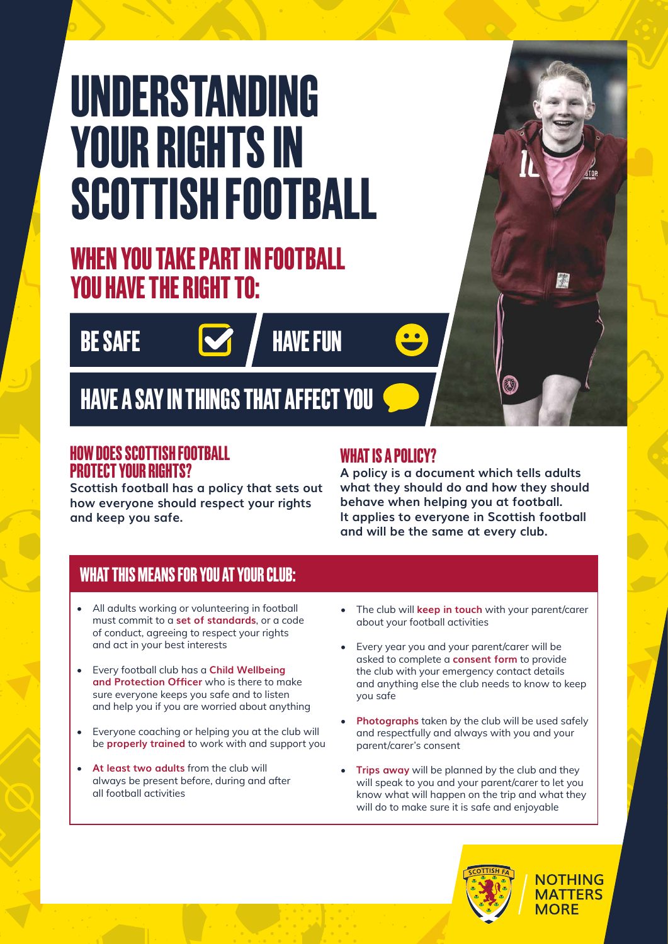# **UNDERSTANDING YOUR RIGHTS IN SCOTTISH FOOTBALL**

# **WHEN YOU TAKE PART IN FOOTBALL YOU HAVE THE RIGHT TO:**

**BE SAFE**



**HAVE A SAY IN THINGS THAT AFFECT YOU**

### **HOW DOES SCOTTISH FOOTBALL PROTECT YOUR RIGHTS?**

**Scottish football has a policy that sets out how everyone should respect your rights and keep you safe.**

## **WHAT IS A POLICY?**

**A policy is a document which tells adults what they should do and how they should behave when helping you at football. It applies to everyone in Scottish football and will be the same at every club.**

# **WHAT THIS MEANS FOR YOU AT YOUR CLUB:**

- All adults working or volunteering in football must commit to a **set of standards**, or a code of conduct, agreeing to respect your rights and act in your best interests
- Every football club has a **Child Wellbeing and Protection Officer** who is there to make sure everyone keeps you safe and to listen and help you if you are worried about anything
- Everyone coaching or helping you at the club will be **properly trained** to work with and support you
- **At least two adults** from the club will always be present before, during and after all football activities
- The club will **keep in touch** with your parent/carer about your football activities
- Every year you and your parent/carer will be asked to complete a **consent form** to provide the club with your emergency contact details and anything else the club needs to know to keep you safe
- **Photographs** taken by the club will be used safely and respectfully and always with you and your parent/carer's consent
- **Trips away** will be planned by the club and they will speak to you and your parent/carer to let you know what will happen on the trip and what they will do to make sure it is safe and enjoyable



**NOTHING MATTERS MORF** 

紫